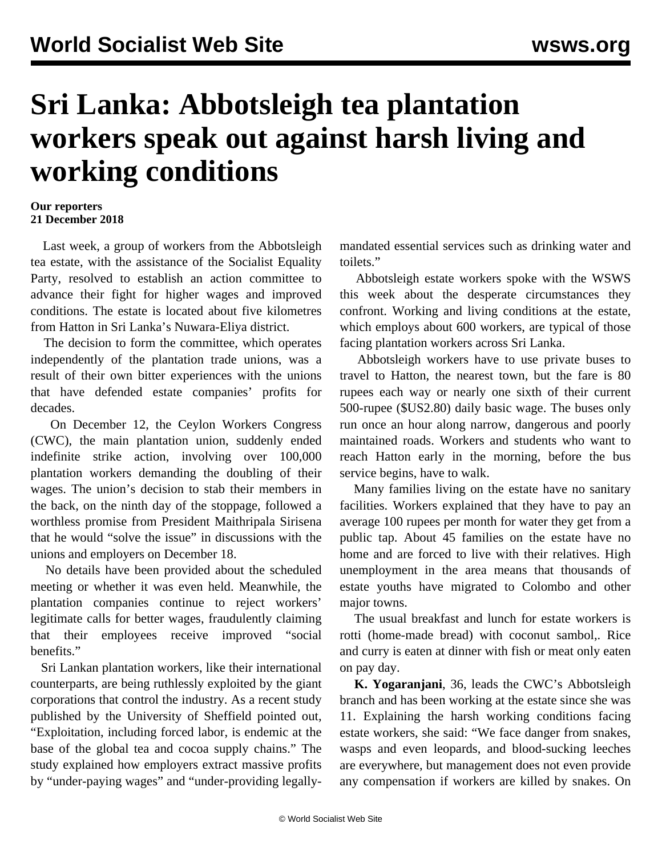## **Sri Lanka: Abbotsleigh tea plantation workers speak out against harsh living and working conditions**

## **Our reporters 21 December 2018**

 Last week, a group of workers from the Abbotsleigh tea estate, with the assistance of the Socialist Equality Party, resolved to establish an action committee to advance their fight for higher wages and improved conditions. The estate is located about five kilometres from Hatton in Sri Lanka's Nuwara-Eliya district.

 The decision to form the committee, which operates independently of the plantation trade unions, was a result of their own bitter experiences with the unions that have defended estate companies' profits for decades.

 On December 12, the Ceylon Workers Congress (CWC), the main plantation union, suddenly ended indefinite strike action, involving over 100,000 plantation workers demanding the doubling of their wages. The union's decision to stab their members in the back, on the ninth day of the stoppage, followed a worthless promise from President Maithripala Sirisena that he would "solve the issue" in discussions with the unions and employers on December 18.

 No details have been provided about the scheduled meeting or whether it was even held. Meanwhile, the plantation companies continue to reject workers' legitimate calls for better wages, fraudulently claiming that their employees receive improved "social benefits."

 Sri Lankan plantation workers, like their international counterparts, are being ruthlessly exploited by the giant corporations that control the industry. As a recent study published by the University of Sheffield pointed out, "Exploitation, including forced labor, is endemic at the base of the global tea and cocoa supply chains." The study explained how employers extract massive profits by "under-paying wages" and "under-providing legallymandated essential services such as drinking water and toilets."

 Abbotsleigh estate workers spoke with the WSWS this week about the desperate circumstances they confront. Working and living conditions at the estate, which employs about 600 workers, are typical of those facing plantation workers across Sri Lanka.

 Abbotsleigh workers have to use private buses to travel to Hatton, the nearest town, but the fare is 80 rupees each way or nearly one sixth of their current 500-rupee (\$US2.80) daily basic wage. The buses only run once an hour along narrow, dangerous and poorly maintained roads. Workers and students who want to reach Hatton early in the morning, before the bus service begins, have to walk.

 Many families living on the estate have no sanitary facilities. Workers explained that they have to pay an average 100 rupees per month for water they get from a public tap. About 45 families on the estate have no home and are forced to live with their relatives. High unemployment in the area means that thousands of estate youths have migrated to Colombo and other major towns.

 The usual breakfast and lunch for estate workers is rotti (home-made bread) with coconut sambol,. Rice and curry is eaten at dinner with fish or meat only eaten on pay day.

 **K. Yogaranjani**, 36, leads the CWC's Abbotsleigh branch and has been working at the estate since she was 11. Explaining the harsh working conditions facing estate workers, she said: "We face danger from snakes, wasps and even leopards, and blood-sucking leeches are everywhere, but management does not even provide any compensation if workers are killed by snakes. On